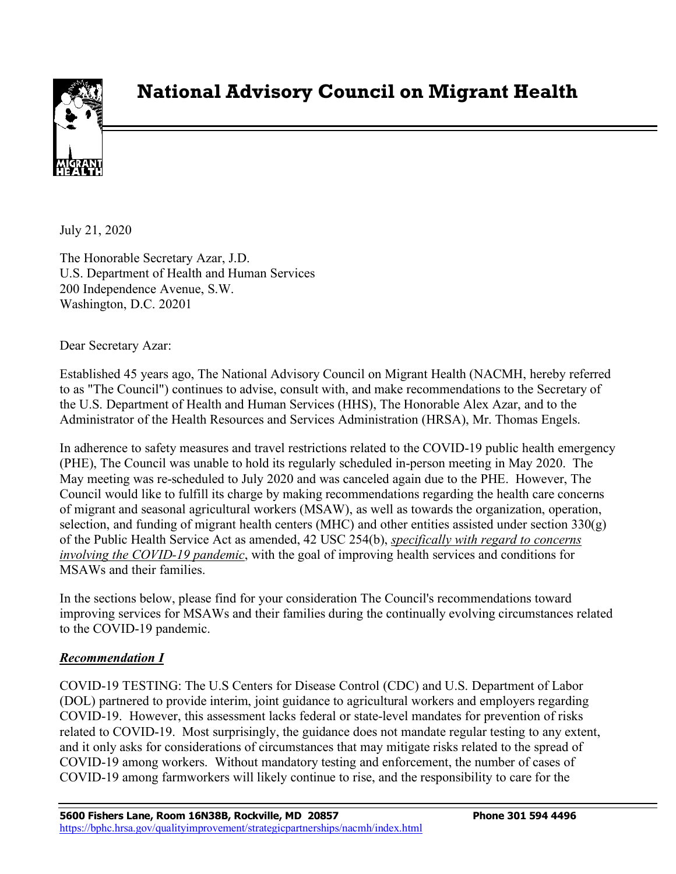

# **National Advisory Council on Migrant Health**

July 21, 2020

The Honorable Secretary Azar, J.D. U.S. Department of Health and Human Services 200 Independence Avenue, S.W. Washington, D.C. 20201

Dear Secretary Azar:

Established 45 years ago, The National Advisory Council on Migrant Health (NACMH, hereby referred to as "The Council") continues to advise, consult with, and make recommendations to the Secretary of the U.S. Department of Health and Human Services (HHS), The Honorable Alex Azar, and to the Administrator of the Health Resources and Services Administration (HRSA), Mr. Thomas Engels.

In adherence to safety measures and travel restrictions related to the COVID-19 public health emergency (PHE), The Council was unable to hold its regularly scheduled in-person meeting in May 2020. The May meeting was re-scheduled to July 2020 and was canceled again due to the PHE. However, The Council would like to fulfill its charge by making recommendations regarding the health care concerns of migrant and seasonal agricultural workers (MSAW), as well as towards the organization, operation, selection, and funding of migrant health centers (MHC) and other entities assisted under section  $330(g)$ of the Public Health Service Act as amended, 42 USC 254(b), *specifically with regard to concerns involving the COVID-19 pandemic*, with the goal of improving health services and conditions for MSAWs and their families.

In the sections below, please find for your consideration The Council's recommendations toward improving services for MSAWs and their families during the continually evolving circumstances related to the COVID-19 pandemic.

#### *Recommendation I*

COVID-19 TESTING: The U.S Centers for Disease Control (CDC) and U.S. Department of Labor (DOL) partnered to provide interim, joint guidance to agricultural workers and employers regarding COVID-19. However, this assessment lacks federal or state-level mandates for prevention of risks related to COVID-19. Most surprisingly, the guidance does not mandate regular testing to any extent, and it only asks for considerations of circumstances that may mitigate risks related to the spread of COVID-19 among workers. Without mandatory testing and enforcement, the number of cases of COVID-19 among farmworkers will likely continue to rise, and the responsibility to care for the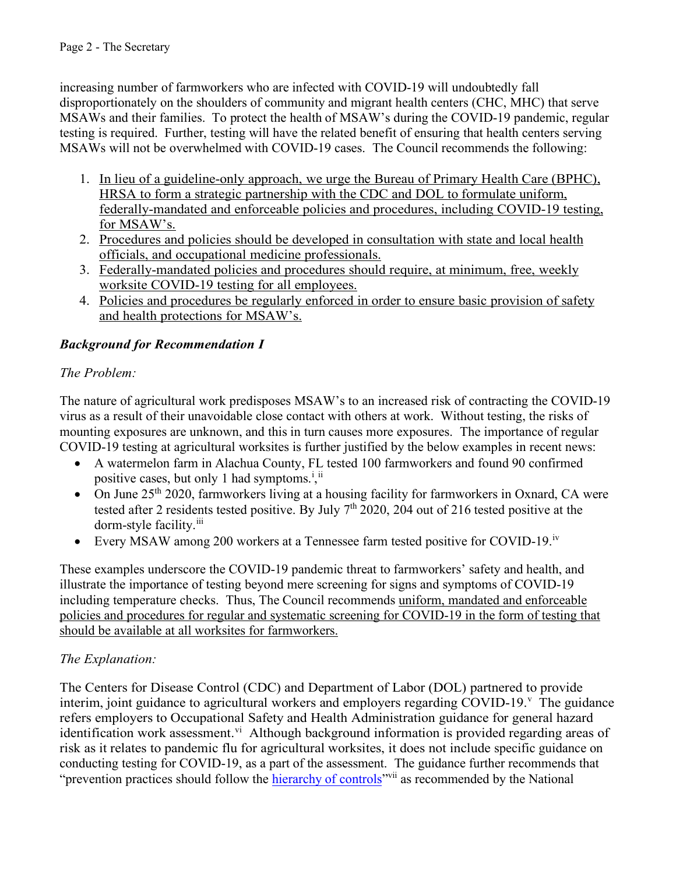increasing number of farmworkers who are infected with COVID-19 will undoubtedly fall disproportionately on the shoulders of community and migrant health centers (CHC, MHC) that serve MSAWs and their families. To protect the health of MSAW's during the COVID-19 pandemic, regular testing is required. Further, testing will have the related benefit of ensuring that health centers serving MSAWs will not be overwhelmed with COVID-19 cases. The Council recommends the following:

- 1. In lieu of a guideline-only approach, we urge the Bureau of Primary Health Care (BPHC), HRSA to form a strategic partnership with the CDC and DOL to formulate uniform, federally-mandated and enforceable policies and procedures, including COVID-19 testing, for MSAW's.
- 2. Procedures and policies should be developed in consultation with state and local health officials, and occupational medicine professionals.
- 3. Federally-mandated policies and procedures should require, at minimum, free, weekly worksite COVID-19 testing for all employees.
- 4. Policies and procedures be regularly enforced in order to ensure basic provision of safety and health protections for MSAW's.

# *Background for Recommendation I*

# *The Problem:*

The nature of agricultural work predisposes MSAW's to an increased risk of contracting the COVID-19 virus as a result of their unavoidable close contact with others at work. Without testing, the risks of mounting exposures are unknown, and this in turn causes more exposures. The importance of regular COVID-19 testing at agricultural worksites is further justified by the below examples in recent news:

- A watermelon farm in Alachua County, FL tested 100 farmworkers and found 90 confirmed pos[i](#page-9-0)tive cases, but only 1 had symptoms.<sup>i</sup>,<sup>ii</sup>
- On June  $25<sup>th</sup>$  2020, farmworkers living at a housing facility for farmworkers in Oxnard, CA were tested after 2 residents tested positive. By July 7th 2020, 204 out of 216 tested positive at the dorm-style facility.<sup>[iii](#page-9-2)</sup>
- Every MSAW among 200 workers at a Tennessee farm tested positive for COVID-19.<sup>iv</sup>

These examples underscore the COVID-19 pandemic threat to farmworkers' safety and health, and illustrate the importance of testing beyond mere screening for signs and symptoms of COVID-19 including temperature checks. Thus, The Council recommends uniform, mandated and enforceable policies and procedures for regular and systematic screening for COVID-19 in the form of testing that should be available at all worksites for farmworkers.

# *The Explanation:*

The Centers for Disease Control (CDC) and Department of Labor (DOL) partnered to provide interim, joint guidance to agricultural workers and employers regarding COVID-19.<sup>[v](#page-9-4)</sup> The guidance refers employers to Occupational Safety and Health Administration guidance for general hazard identification work assessment.<sup>[vi](#page-9-5)</sup> Although background information is provided regarding areas of risk as it relates to pandemic flu for agricultural worksites, it does not include specific guidance on conducting testing for COVID-19, as a part of the assessment. The guidance further recommends that "prevention practices should follow the [hierarchy of controls"](https://www.cdc.gov/niosh/topics/hierarchy/default.html)<sup>[vii](#page-9-6)</sup> as recommended by the National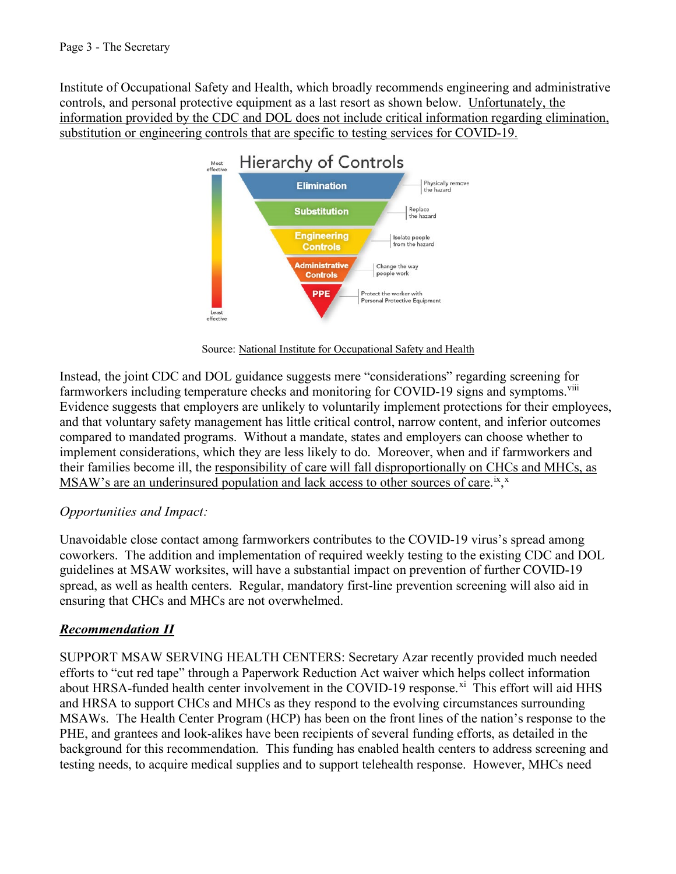Institute of Occupational Safety and Health, which broadly recommends engineering and administrative controls, and personal protective equipment as a last resort as shown below. Unfortunately, the information provided by the CDC and DOL does not include critical information regarding elimination, substitution or engineering controls that are specific to testing services for COVID-19.



[Source: National Institute for Occupational Safety and Health](https://www.cdc.gov/NIOSH/) 

Instead, the joint CDC and DOL guidance suggests mere "considerations" regarding screening for farmworkers including temperature checks and monitoring for COVID-19 signs and symptoms.<sup>viii</sup> Evidence suggests that employers are unlikely to voluntarily implement protections for their employees, and that voluntary safety management has little critical control, narrow content, and inferior outcomes compared to mandated programs. Without a mandate, states and employers can choose whether to implement considerations, which they are less likely to do. Moreover, when and if farmworkers and their families become ill, the responsibility of care will fall disproportionally on CHCs and MHCs, as MSAW's are an underinsured population and lack access to other sources of care.<sup>[ix](#page-9-8)</sup>,<sup>[x](#page-9-9)</sup>

#### *Opportunities and Impact:*

Unavoidable close contact among farmworkers contributes to the COVID-19 virus's spread among coworkers. The addition and implementation of required weekly testing to the existing CDC and DOL guidelines at MSAW worksites, will have a substantial impact on prevention of further COVID-19 spread, as well as health centers. Regular, mandatory first-line prevention screening will also aid in ensuring that CHCs and MHCs are not overwhelmed.

#### *Recommendation II*

SUPPORT MSAW SERVING HEALTH CENTERS: Secretary Azar recently provided much needed efforts to "cut red tape" through a Paperwork Reduction Act waiver which helps collect information about HRSA-funded health center involvement in the COVID-19 response.<sup>xi</sup> This effort will aid HHS and HRSA to support CHCs and MHCs as they respond to the evolving circumstances surrounding MSAWs. The Health Center Program (HCP) has been on the front lines of the nation's response to the PHE, and grantees and look-alikes have been recipients of several funding efforts, as detailed in the background for this recommendation. This funding has enabled health centers to address screening and testing needs, to acquire medical supplies and to support telehealth response. However, MHCs need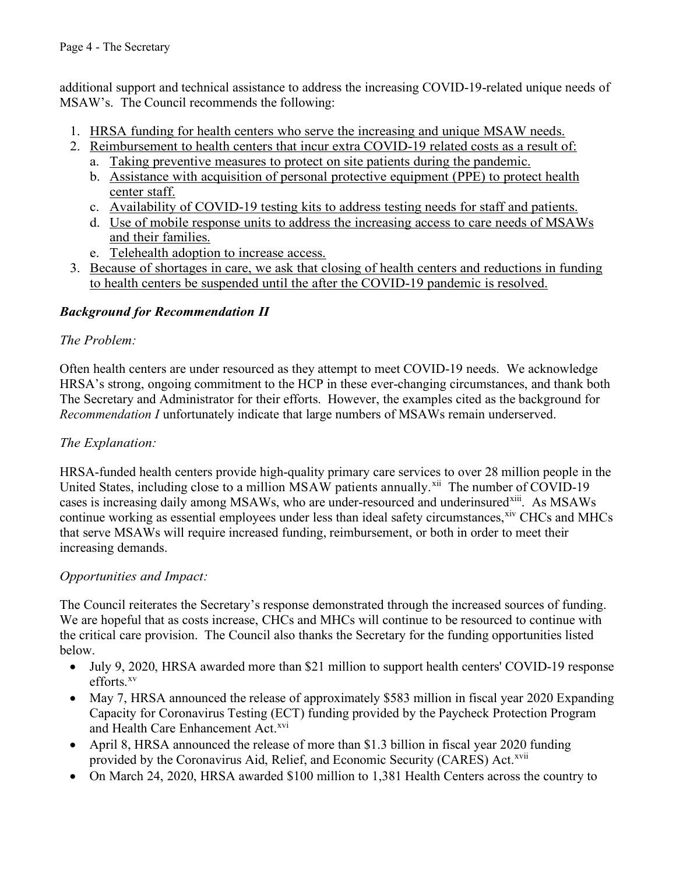additional support and technical assistance to address the increasing COVID-19-related unique needs of MSAW's. The Council recommends the following:

- 1. HRSA funding for health centers who serve the increasing and unique MSAW needs.
- 2. Reimbursement to health centers that incur extra COVID-19 related costs as a result of:
	- a. Taking preventive measures to protect on site patients during the pandemic.
	- b. Assistance with acquisition of personal protective equipment (PPE) to protect health center staff.
	- c. Availability of COVID-19 testing kits to address testing needs for staff and patients.
	- d. Use of mobile response units to address the increasing access to care needs of MSAWs and their families.
	- e. Telehealth adoption to increase access.
- 3. Because of shortages in care, we ask that closing of health centers and reductions in funding to health centers be suspended until the after the COVID-19 pandemic is resolved.

## *Background for Recommendation II*

## *The Problem:*

Often health centers are under resourced as they attempt to meet COVID-19 needs. We acknowledge HRSA's strong, ongoing commitment to the HCP in these ever-changing circumstances, and thank both The Secretary and Administrator for their efforts. However, the examples cited as the background for *Recommendation I* unfortunately indicate that large numbers of MSAWs remain underserved.

## *The Explanation:*

HRSA-funded health centers provide high-quality primary care services to over 28 million people in the United States, including close to a million MSAW patients annually.<sup>xii</sup> The number of COVID-19 cases is increasing daily among MSAWs, who are under-resourced and underinsured<sup>xiii</sup>. As MSAWs continue working as essential employees under less than ideal safety circumstances, [xiv](#page-9-13) CHCs and MHCs that serve MSAWs will require increased funding, reimbursement, or both in order to meet their increasing demands.

## *Opportunities and Impact:*

The Council reiterates the Secretary's response demonstrated through the increased sources of funding. We are hopeful that as costs increase, CHCs and MHCs will continue to be resourced to continue with the critical care provision. The Council also thanks the Secretary for the funding opportunities listed below.

- July 9, 2020, HRSA awarded more than \$21 million to support health centers' COVID-19 response efforts.[xv](#page-9-14)
- May 7, HRSA announced the release of approximately \$583 million in fiscal year 2020 Expanding Capacity for Coronavirus Testing (ECT) funding provided by the Paycheck Protection Program and Health Care Enhancement Act.<sup>xvi</sup>
- April 8, HRSA announced the release of more than \$1.3 billion in fiscal year 2020 funding provided by the Coronavirus Aid, Relief, and Economic Security (CARES) Act.<sup>xvii</sup>
- On March 24, 2020, HRSA awarded \$100 million to 1,381 Health Centers across the country to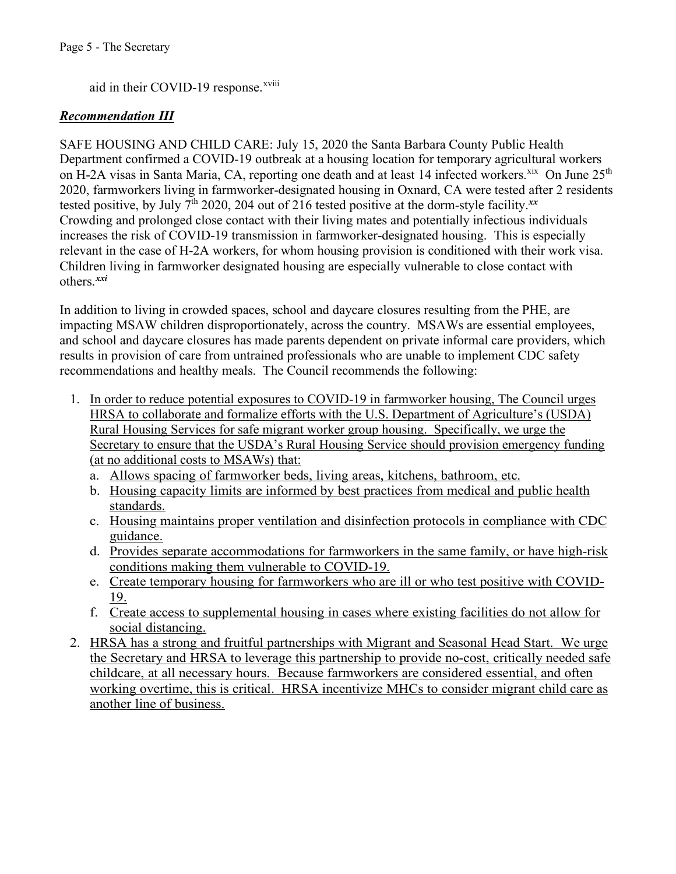aid in their COVID-19 response.<sup>xviii</sup>

#### *Recommendation III*

SAFE HOUSING AND CHILD CARE: July 15, 2020 the Santa Barbara County Public Health Department confirmed a COVID-19 outbreak at a housing location for temporary agricultural workers on H-2A visas in Santa Maria, CA, reporting one death and at least 14 infected workers.<sup>xix</sup> On June 25<sup>th</sup> 2020, farmworkers living in farmworker-designated housing in Oxnard, CA were tested after 2 residents tested positive, by July 7th 2020, 204 out of 216 tested positive at the dorm-style facility.*[xx](#page-9-18)*  Crowding and prolonged close contact with their living mates and potentially infectious individuals increases the risk of COVID-19 transmission in farmworker-designated housing. This is especially relevant in the case of H-2A workers, for whom housing provision is conditioned with their work visa. Children living in farmworker designated housing are especially vulnerable to close contact with others.*[xxi](#page-9-19)* 

In addition to living in crowded spaces, school and daycare closures resulting from the PHE, are impacting MSAW children disproportionately, across the country. MSAWs are essential employees, and school and daycare closures has made parents dependent on private informal care providers, which results in provision of care from untrained professionals who are unable to implement CDC safety recommendations and healthy meals. The Council recommends the following:

- 1. In order to reduce potential exposures to COVID-19 in farmworker housing, The Council urges HRSA to collaborate and formalize efforts with the U.S. Department of Agriculture's (USDA) Rural Housing Services for safe migrant worker group housing. Specifically, we urge the Secretary to ensure that the USDA's Rural Housing Service should provision emergency funding (at no additional costs to MSAWs) that:
	- a. Allows spacing of farmworker beds, living areas, kitchens, bathroom, etc.
	- b. Housing capacity limits are informed by best practices from medical and public health standards.
	- c. Housing maintains proper ventilation and disinfection protocols in compliance with CDC guidance.
	- d. Provides separate accommodations for farmworkers in the same family, or have high-risk conditions making them vulnerable to COVID-19.
	- e. Create temporary housing for farmworkers who are ill or who test positive with COVID-19.
	- f. Create access to supplemental housing in cases where existing facilities do not allow for social distancing.
- 2. HRSA has a strong and fruitful partnerships with Migrant and Seasonal Head Start. We urge the Secretary and HRSA to leverage this partnership to provide no-cost, critically needed safe childcare, at all necessary hours. Because farmworkers are considered essential, and often working overtime, this is critical. HRSA incentivize MHCs to consider migrant child care as another line of business.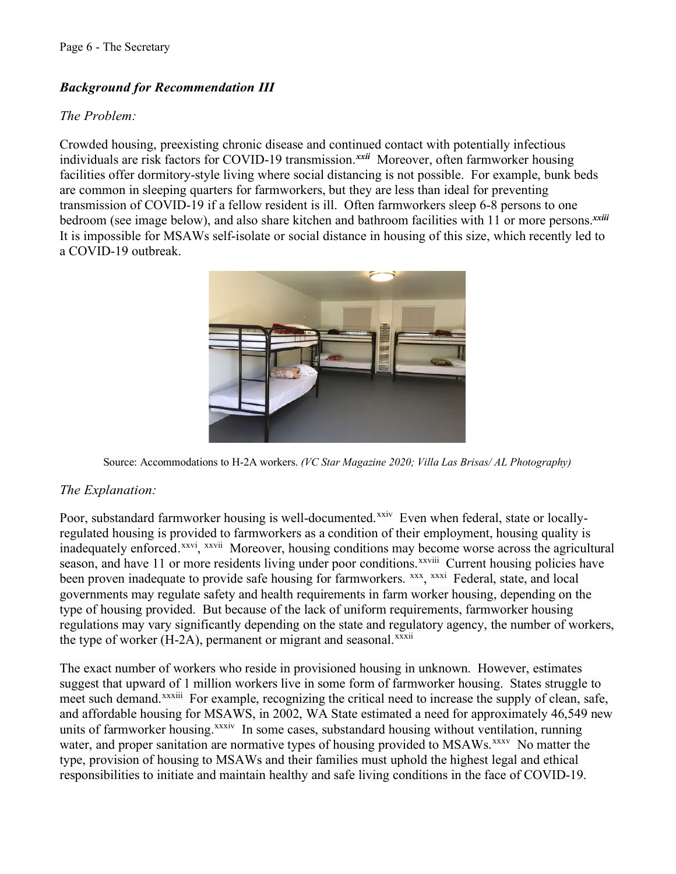## *Background for Recommendation III*

#### *The Problem:*

Crowded housing, preexisting chronic disease and continued contact with potentially infectious individuals are risk factors for COVID-19 transmission.*[xxii](#page-9-21)* Moreover, often farmworker housing facilities offer dormitory-style living where social distancing is not possible. For example, bunk beds are common in sleeping quarters for farmworkers, but they are less than ideal for preventing transmission of COVID-19 if a fellow resident is ill. Often farmworkers sleep 6-8 persons to one bedroom (see image below), and also share kitchen and bathroom facilities with 11 or more persons.*[xxiii](#page-9-32)* It is impossible for MSAWs self-isolate or social distance in housing of this size, which recently led to a COVID-19 outbreak.



Source: Accommodations to H-2A workers. *(VC Star Magazine 2020; Villa Las Brisas/ AL Photography)*

## *The Explanation:*

Poor, substandard farmworker housing is well-documented.<sup>xxiv</sup> Even when federal, state or locallyregulated housing is provided to farmworkers as a condition of their employment, housing quality is inadequately enforced.<sup>xxvi</sup>, <sup>xxvii</sup> Moreover, housing conditions may become worse across the agricultural season,and have 11 or more residents living under poor conditions.<sup>xxviii</sup> Current housing policies have been proven inadequate to provide safe housing for farmworkers. *xxx*, [xxxi](#page-9-26) Federal, state, and local the type of worker (H-2A), permanent or migrant and seasonal.<sup>xxxii</sup> governments may regulate safety and health requirements in farm worker housing, depending on the type of housing provided. But because of the lack of uniform requirements, farmworker housing regulations may vary significantly depending on the state and regulatory agency, the number of workers,

The exact number of workers who reside in provisioned housing in unknown. However, estimates suggest that upward of 1 million workers live in some form of farmworker housing. States struggle to meet such demand.<sup>xxxiii</sup> For example, recognizing the critical need to increase the supply of clean, safe, and affordable housing for MSAWS, in 2002, WA State estimated a need for approximately 46,549 new units of farmworker housing.<sup>xxxiv</sup> In some cases, substandard housing without ventilation, running water, and proper sanitation are normative types of housing provided to MSAWs.<sup>[xxxv](#page-9-29)</sup> No matter the type, provision of housing to MSAWs and their families must uphold the highest legal and ethical responsibilities to initiate and maintain healthy and safe living conditions in the face of COVID-19.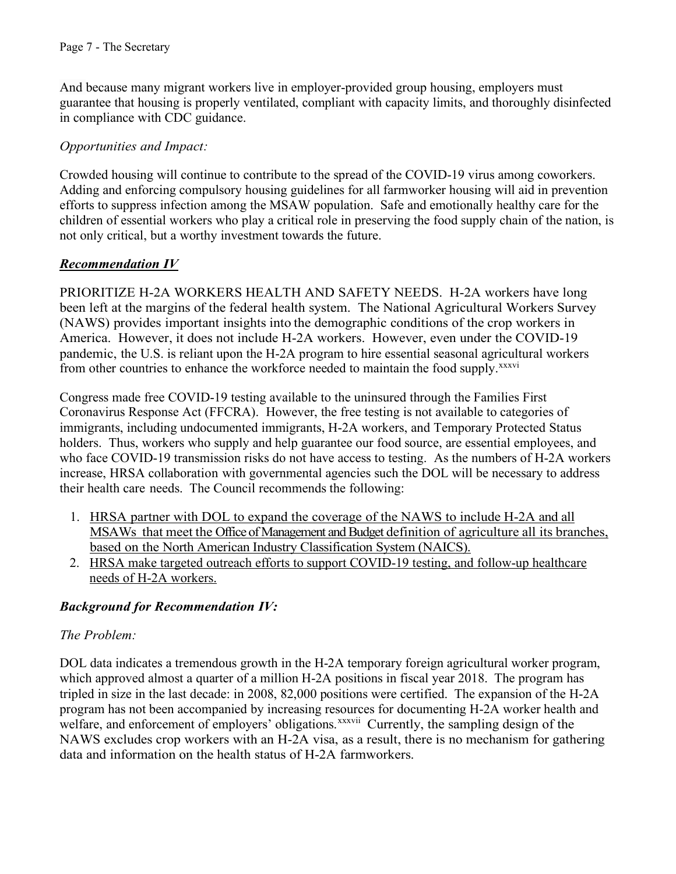And because many migrant workers live in employer-provided group housing, employers must guarantee that housing is properly ventilated, compliant with capacity limits, and thoroughly disinfected in compliance with CDC guidance.

#### *Opportunities and Impact:*

Crowded housing will continue to contribute to the spread of the COVID-19 virus among coworkers. Adding and enforcing compulsory housing guidelines for all farmworker housing will aid in prevention efforts to suppress infection among the MSAW population. Safe and emotionally healthy care for the children of essential workers who play a critical role in preserving the food supply chain of the nation, is not only critical, but a worthy investment towards the future.

#### *Recommendation IV*

PRIORITIZE H-2A WORKERS HEALTH AND SAFETY NEEDS. H-2A workers have long been left at the margins of the federal health system. The National Agricultural Workers Survey (NAWS) provides important insights into the demographic conditions of the crop workers in America. However, it does not include H-2A workers. However, even under the COVID-19 pandemic, the U.S. is reliant upon the H-2A program to hire essential seasonal agricultural workers from other countries to enhance the workforce needed to maintain the food supply.<sup>xxxvi</sup>

Congress made free COVID-19 testing available to the uninsured through the Families First Coronavirus Response Act (FFCRA). However, the free testing is not available to categories of immigrants, including undocumented immigrants, H-2A workers, and Temporary Protected Status holders. Thus, workers who supply and help guarantee our food source, are essential employees, and who face COVID-19 transmission risks do not have access to testing. As the numbers of H-2A workers increase, HRSA collaboration with governmental agencies such the DOL will be necessary to address their health care needs. The Council recommends the following:

- 1. HRSA partner with DOL to expand the coverage of the NAWS to include H-2A and all MSAWs that meet the Office of Management and Budget definition of agriculture all its branches, based on the North American Industry Classification System (NAICS).
- 2. HRSA make targeted outreach efforts to support COVID-19 testing, and follow-up healthcare needs of H-2A workers.

## *Background for Recommendation IV:*

#### *The Problem:*

DOL data indicates a tremendous growth in the H-2A temporary foreign agricultural worker program, which approved almost a quarter of a million H-2A positions in fiscal year 2018. The program has tripled in size in the last decade: in 2008, 82,000 positions were certified. The expansion of the H-2A program has not been accompanied by increasing resources for documenting H-2A worker health and welfare, and enforcement of employers' obligations.<sup>xxxvii</sup> Currently, the sampling design of the NAWS excludes crop workers with an H-2A visa, as a result, there is no mechanism for gathering data and information on the health status of H-2A farmworkers.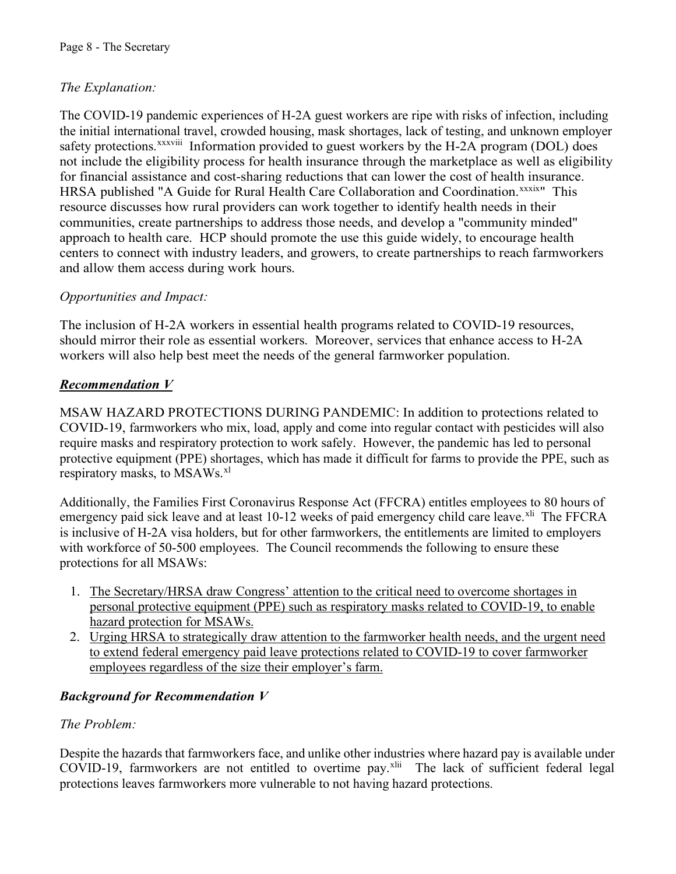## *The Explanation:*

The COVID-19 pandemic experiences of H-2A guest workers are ripe with risks of infection, including the initial international travel, crowded housing, mask shortages, lack of testing, and unknown employer safety protections.<sup>xxxviii</sup> Information provided to guest workers by the H-2A program (DOL) does HRSA published "A Guide for Rural Health Care Collaboration and Coordination. XXXIX" This not include the eligibility process for health insurance through the marketplace as well as eligibility for financial assistance and cost-sharing reductions that can lower the cost of health insurance. resource discusses how rural providers can work together to identify health needs in their communities, create partnerships to address those needs, and develop a "community minded" approach to health care. HCP should promote the use this guide widely, to encourage health centers to connect with industry leaders, and growers, to create partnerships to reach farmworkers and allow them access during work hours.

#### *Opportunities and Impact:*

The inclusion of H-2A workers in essential health programs related to COVID-19 resources, should mirror their role as essential workers. Moreover, services that enhance access to H-2A workers will also help best meet the needs of the general farmworker population.

#### *Recommendation V*

MSAW HAZARD PROTECTIONS DURING PANDEMIC: In addition to protections related to COVID-19, farmworkers who mix, load, apply and come into regular contact with pesticides will also require masks and respiratory protection to work safely. However, the pandemic has led to personal protective equipment (PPE) shortages, which has made it difficult for farms to provide the PPE, such as respiratory masks, to MSAWs.<sup>[xl](#page-9-37)</sup>

Additionally, the Families First Coronavirus Response Act (FFCRA) entitles employees to 80 hours of emergency paid sick leave and at least 10-12 weeks of paid emergency child care leave.<sup>[xli](#page-9-38)</sup> The FFCRA is inclusive of H-2A visa holders, but for other farmworkers, the entitlements are limited to employers with workforce of 50-500 employees. The Council recommends the following to ensure these protections for all MSAWs:

- 1. The Secretary/HRSA draw Congress' attention to the critical need to overcome shortages in personal protective equipment (PPE) such as respiratory masks related to COVID-19, to enable hazard protection for MSAWs.
- 2. Urging HRSA to strategically draw attention to the farmworker health needs, and the urgent need to extend federal emergency paid leave protections related to COVID-19 to cover farmworker employees regardless of the size their employer's farm.

## *Background for Recommendation V*

#### *The Problem:*

Despite the hazards that farmworkers face, and unlike other industries where hazard pay is available under COVID-19, farmworkers are not entitled to overtime pay.[xlii](#page-9-39) The lack of sufficient federal legal protections leaves farmworkers more vulnerable to not having hazard protections.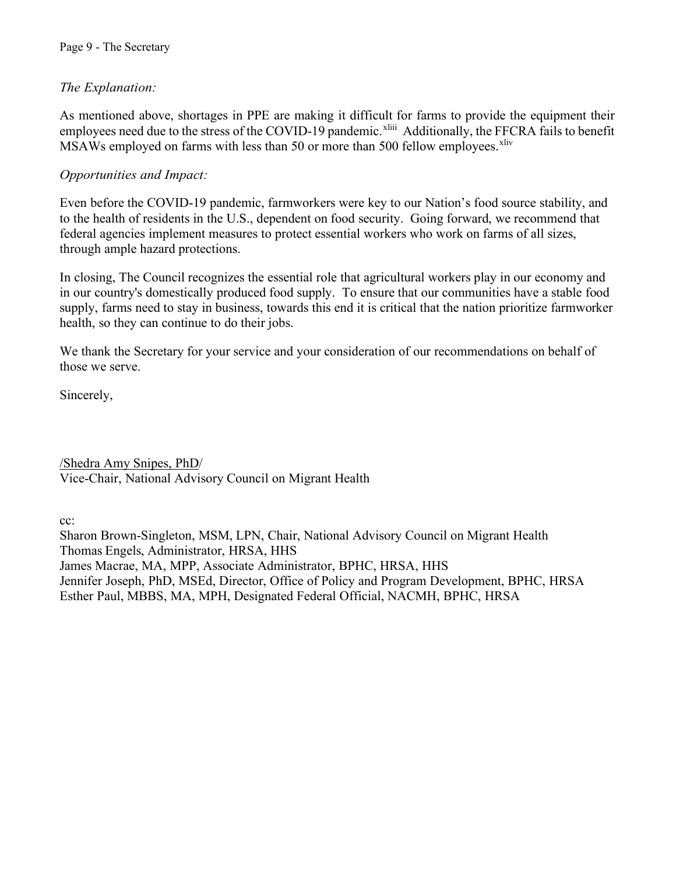#### Page 9 - The Secretary

#### *The Explanation:*

As mentioned above, shortages in PPE are making it difficult for farms to provide the equipment their employees need due to the stress of the COVID-19 pandemic.<sup>xliii</sup> Additionally, the FFCRA fails to benefit MSAWs employed on farms with less than 50 or more than 500 fellow employees.<sup>[xliv](#page-9-41)</sup>

#### *Opportunities and Impact:*

Even before the COVID-19 pandemic, farmworkers were key to our Nation's food source stability, and to the health of residents in the U.S., dependent on food security. Going forward, we recommend that federal agencies implement measures to protect essential workers who work on farms of all sizes, through ample hazard protections.

In closing, The Council recognizes the essential role that agricultural workers play in our economy and in our country's domestically produced food supply. To ensure that our communities have a stable food supply, farms need to stay in business, towards this end it is critical that the nation prioritize farmworker health, so they can continue to do their jobs.

We thank the Secretary for your service and your consideration of our recommendations on behalf of those we serve.

Sincerely,

/Shedra Amy Snipes, PhD/ Vice-Chair, National Advisory Council on Migrant Health

cc:

Sharon Brown-Singleton, MSM, LPN, Chair, National Advisory Council on Migrant Health Thomas Engels, Administrator, HRSA, HHS James Macrae, MA, MPP, Associate Administrator, BPHC, HRSA, HHS Jennifer Joseph, PhD, MSEd, Director, Office of Policy and Program Development, BPHC, HRSA Esther Paul, MBBS, MA, MPH, Designated Federal Official, NACMH, BPHC, HRSA